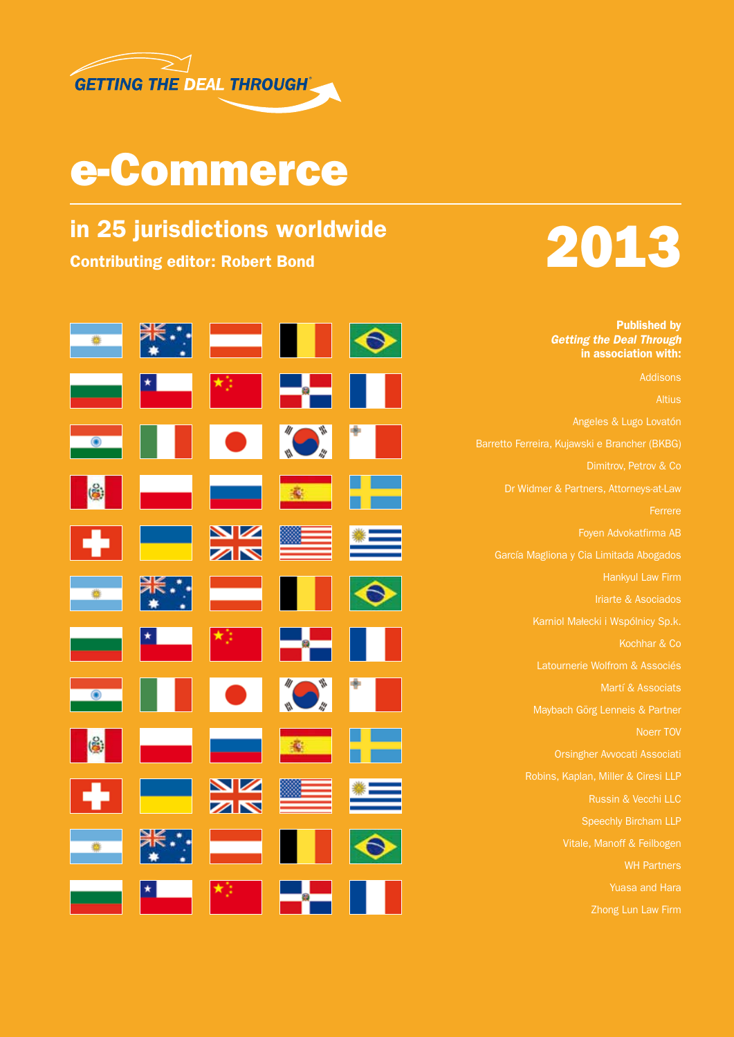

## e-Commerce



Published by *Getting the Deal Through* in association with:

▓€⋰  $\bullet$ **COL** 変 NK<br>AR 滚 K

Addisons Angeles & Lugo Lovatón Barretto Ferreira, Kujawski e Brancher (BKBG) Dimitrov, Petrov & Co Dr Widmer & Partners, Attorneys-at-Law Ferrere Foyen Advokatfirma AB García Magliona y Cia Limitada Abogados Hankyul Law Firm Iriarte & Asociados Kochhar & Co Martí & Associats Maybach Görg Lenneis & Partner Orsingher Avvocati Associati Russin & Vecchi LLC Vitale, Manoff & Feilbogen WH Partners Yuasa and Hara Zhong Lun Law Firm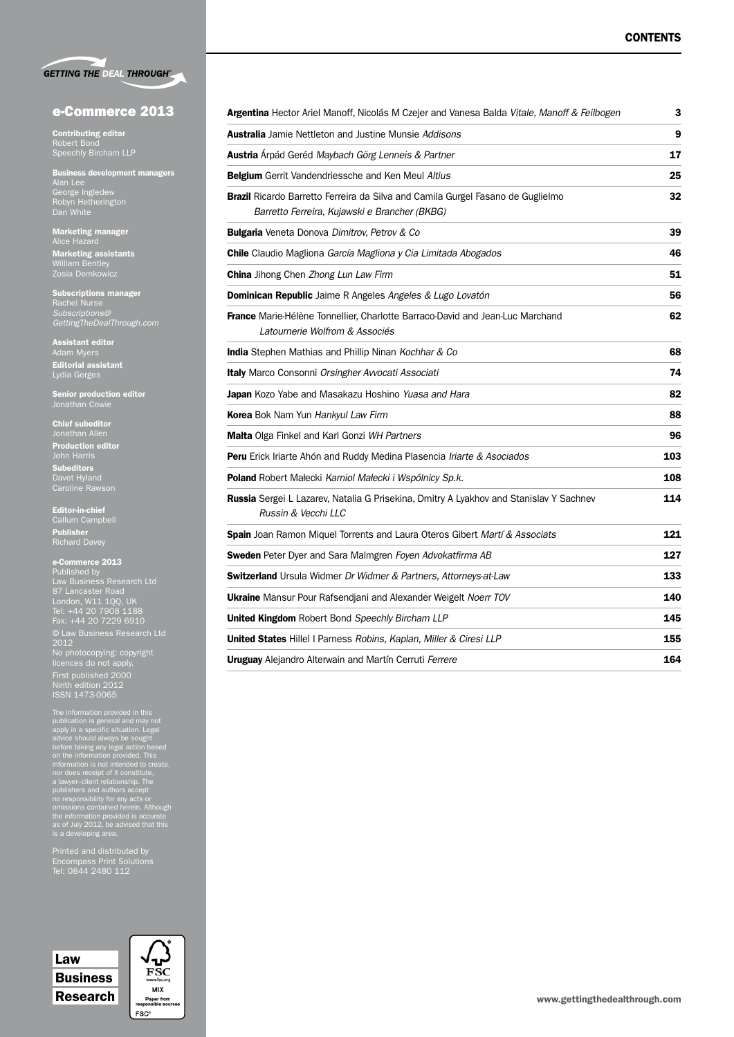| <b>GETTING THE DEAL THROUGH®</b> |  |  |
|----------------------------------|--|--|
|                                  |  |  |

#### e-Commerce 2013

Contributing editor Robert Bond Speechly Bircham LLP

Business development managers Alan Lee George Ingledew Robyn Hetherington Dan White

Marketing manager Alice Hazard Marketing assistants William Bentley

Subscriptions manager Rachel Nurse *Subscriptions@ GettingTheDealThrough.com*

Assistant editor Adam Myers Editorial assistant Lydia Gerges

Senior production editor

Chief subeditor Jonathan Allen Production editor **Subeditors** Davet Hyland

Editor-in-chief Callum Campbell

Publisher Richard Davey

#### e-Commerce 2013

Published by Law Business Research Ltd 87 Lancaster Road London, W11 1QQ, UK Tel: +44 20 7908 1188 Fax: +44 20 7229 6910 © Law Business Research Ltd 2012 No photocopying: copyright licences do not apply. First published 2000 Ninth edition 2012 ISSN 1473-0065

The information provided in this<br>publication is general and may not<br>publication is general and may not<br>apply in a specific situation. Legal<br>before taking any legal action based<br>on the information provided. This<br>information

Printed and distributed by Encompass Print Solutions

## Law **Business** Research

| FS<br>www.fsc.org               |  |
|---------------------------------|--|
| MIX                             |  |
| Paper from<br>responsible sourc |  |
| <b>FSC®</b>                     |  |

| Argentina Hector Ariel Manoff, Nicolás M Czejer and Vanesa Balda Vitale, Manoff & Feilbogen                                             | 3   |
|-----------------------------------------------------------------------------------------------------------------------------------------|-----|
| <b>Australia</b> Jamie Nettleton and Justine Munsie Addisons                                                                            | 9   |
| Austria Árpád Geréd Maybach Görg Lenneis & Partner                                                                                      | 17  |
| <b>Belgium</b> Gerrit Vandendriessche and Ken Meul Altius                                                                               | 25  |
| <b>Brazil</b> Ricardo Barretto Ferreira da Silva and Camila Gurgel Fasano de Guglielmo<br>Barretto Ferreira, Kujawski e Brancher (BKBG) | 32  |
| Bulgaria Veneta Donova Dimitrov, Petrov & Co                                                                                            | 39  |
| <b>Chile</b> Claudio Magliona García Magliona y Cia Limitada Abogados                                                                   | 46  |
| <b>China</b> Jihong Chen Zhong Lun Law Firm                                                                                             | 51  |
| <b>Dominican Republic</b> Jaime R Angeles Angeles & Lugo Lovatón                                                                        | 56  |
| <b>France</b> Marie-Hélène Tonnellier, Charlotte Barraco-David and Jean-Luc Marchand<br>Latournerie Wolfrom & Associés                  | 62  |
| <b>India</b> Stephen Mathias and Phillip Ninan Kochhar & Co                                                                             | 68  |
| <b>Italy</b> Marco Consonni Orsingher Avvocati Associati                                                                                | 74  |
| Japan Kozo Yabe and Masakazu Hoshino Yuasa and Hara                                                                                     | 82  |
| <b>Korea</b> Bok Nam Yun Hankyul Law Firm                                                                                               | 88  |
| Malta Olga Finkel and Karl Gonzi WH Partners                                                                                            | 96  |
| Peru Erick Iriarte Ahón and Ruddy Medina Plasencia Iriarte & Asociados                                                                  | 103 |
| Poland Robert Małecki Karniol Małecki i Wspólnicy Sp.k.                                                                                 | 108 |
| Russia Sergei L Lazarev, Natalia G Prisekina, Dmitry A Lyakhov and Stanislav Y Sachnev<br>Russin & Vecchi LLC                           | 114 |
| <b>Spain</b> Joan Ramon Miquel Torrents and Laura Oteros Gibert Martí & Associats                                                       | 121 |
| <b>Sweden</b> Peter Dyer and Sara Malmgren Foyen Advokatfirma AB                                                                        | 127 |
| Switzerland Ursula Widmer Dr Widmer & Partners, Attorneys-at-Law                                                                        | 133 |
| Ukraine Mansur Pour Rafsendjani and Alexander Weigelt Noerr TOV                                                                         | 140 |
| United Kingdom Robert Bond Speechly Bircham LLP                                                                                         | 145 |
| United States Hillel I Parness Robins, Kaplan, Miller & Ciresi LLP                                                                      | 155 |
| <b>Uruguay</b> Alejandro Alterwain and Martín Cerruti Ferrere                                                                           | 164 |
|                                                                                                                                         |     |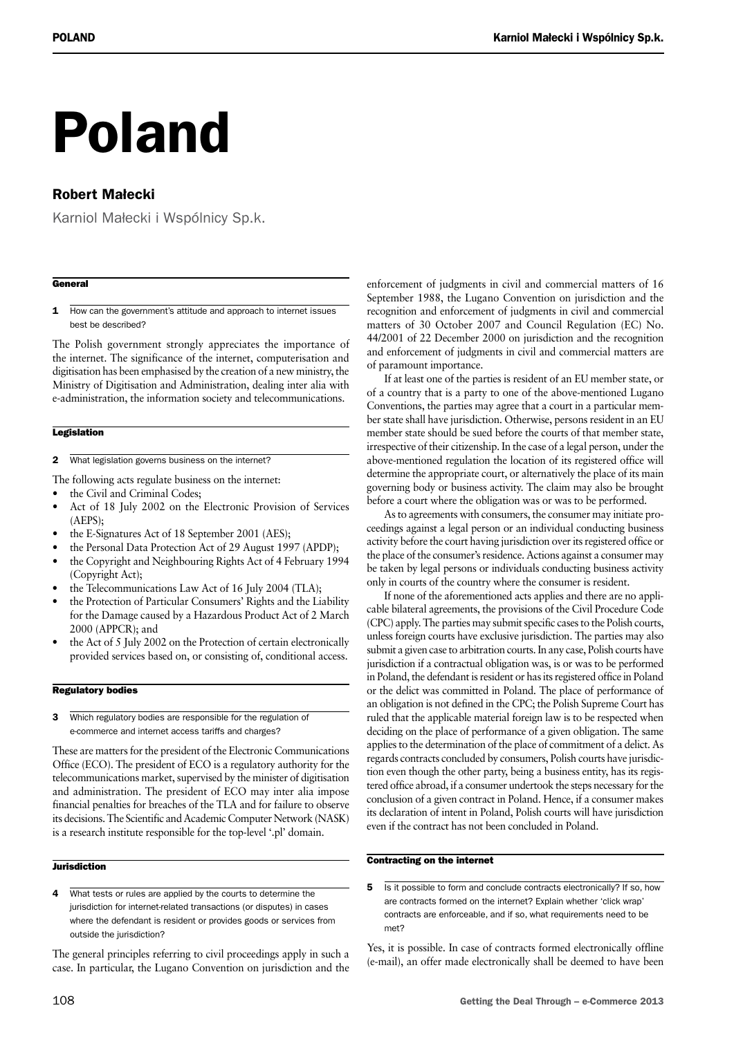# Poland

### Robert Małecki

Karniol Małecki i Wspólnicy Sp.k.

#### **General**

1 How can the government's attitude and approach to internet issues best be described?

The Polish government strongly appreciates the importance of the internet. The significance of the internet, computerisation and digitisation has been emphasised by the creation of a new ministry, the Ministry of Digitisation and Administration, dealing inter alia with e-administration, the information society and telecommunications.

#### **Legislation**

- 2 What legislation governs business on the internet?
- The following acts regulate business on the internet:
- the Civil and Criminal Codes:
- Act of 18 July 2002 on the Electronic Provision of Services (AEPS);
- the E-Signatures Act of 18 September 2001 (AES);
- the Personal Data Protection Act of 29 August 1997 (APDP);
- the Copyright and Neighbouring Rights Act of 4 February 1994 (Copyright Act);
- the Telecommunications Law Act of 16 July 2004 (TLA);
- the Protection of Particular Consumers' Rights and the Liability for the Damage caused by a Hazardous Product Act of 2 March 2000 (APPCR); and
- the Act of 5 July 2002 on the Protection of certain electronically provided services based on, or consisting of, conditional access.

#### Regulatory bodies

3 Which regulatory bodies are responsible for the regulation of e‑commerce and internet access tariffs and charges?

These are matters for the president of the Electronic Communications Office (ECO). The president of ECO is a regulatory authority for the telecommunications market, supervised by the minister of digitisation and administration. The president of ECO may inter alia impose financial penalties for breaches of the TLA and for failure to observe its decisions.The Scientific and Academic Computer Network (NASK) is a research institute responsible for the top-level '.pl' domain.

#### **Jurisdiction**

4 What tests or rules are applied by the courts to determine the jurisdiction for internet-related transactions (or disputes) in cases where the defendant is resident or provides goods or services from outside the jurisdiction?

The general principles referring to civil proceedings apply in such a case. In particular, the Lugano Convention on jurisdiction and the enforcement of judgments in civil and commercial matters of 16 September 1988, the Lugano Convention on jurisdiction and the recognition and enforcement of judgments in civil and commercial matters of 30 October 2007 and Council Regulation (EC) No. 44/2001 of 22 December 2000 on jurisdiction and the recognition and enforcement of judgments in civil and commercial matters are of paramount importance.

If at least one of the parties is resident of an EU member state, or of a country that is a party to one of the above-mentioned Lugano Conventions, the parties may agree that a court in a particular member state shall have jurisdiction. Otherwise, persons resident in an EU member state should be sued before the courts of that member state, irrespective of their citizenship. In the case of a legal person, under the above-mentioned regulation the location of its registered office will determine the appropriate court, or alternatively the place of its main governing body or business activity. The claim may also be brought before a court where the obligation was or was to be performed.

As to agreements with consumers, the consumer may initiate proceedings against a legal person or an individual conducting business activity before the court having jurisdiction over its registered office or the place of the consumer's residence. Actions against a consumer may be taken by legal persons or individuals conducting business activity only in courts of the country where the consumer is resident.

If none of the aforementioned acts applies and there are no applicable bilateral agreements, the provisions of the Civil Procedure Code (CPC) apply. The parties may submit specific cases to the Polish courts, unless foreign courts have exclusive jurisdiction. The parties may also submit a given case to arbitration courts. In any case, Polish courts have jurisdiction if a contractual obligation was, is or was to be performed in Poland, the defendant is resident or has its registered office in Poland or the delict was committed in Poland. The place of performance of an obligation is not defined in the CPC; the Polish Supreme Court has ruled that the applicable material foreign law is to be respected when deciding on the place of performance of a given obligation. The same applies to the determination of the place of commitment of a delict. As regards contracts concluded by consumers, Polish courts have jurisdiction even though the other party, being a business entity, has its registered office abroad, if a consumer undertook the steps necessary for the conclusion of a given contract in Poland. Hence, if a consumer makes its declaration of intent in Poland, Polish courts will have jurisdiction even if the contract has not been concluded in Poland.

#### Contracting on the internet

5 Is it possible to form and conclude contracts electronically? If so, how are contracts formed on the internet? Explain whether 'click wrap' contracts are enforceable, and if so, what requirements need to be met?

Yes, it is possible. In case of contracts formed electronically offline (e-mail), an offer made electronically shall be deemed to have been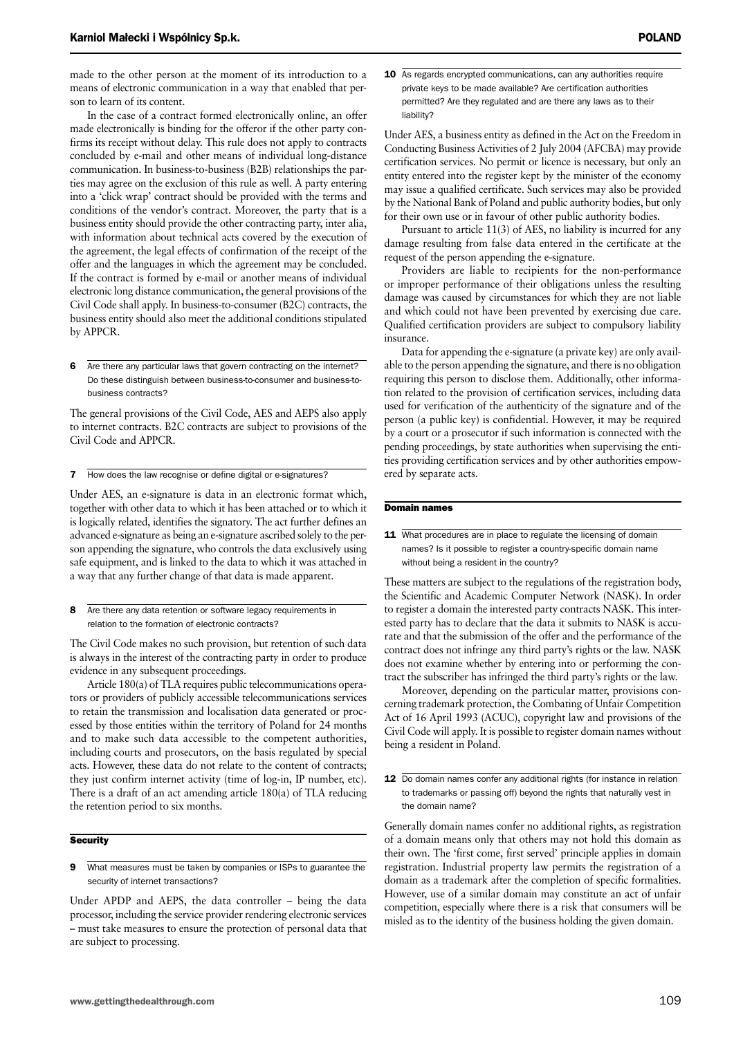made to the other person at the moment of its introduction to a means of electronic communication in a way that enabled that person to learn of its content.

In the case of a contract formed electronically online, an offer made electronically is binding for the offeror if the other party confirms its receipt without delay. This rule does not apply to contracts concluded by e-mail and other means of individual long-distance communication. In business-to-business (B2B) relationships the parties may agree on the exclusion of this rule as well. A party entering into a 'click wrap' contract should be provided with the terms and conditions of the vendor's contract. Moreover, the party that is a business entity should provide the other contracting party, inter alia, with information about technical acts covered by the execution of the agreement, the legal effects of confirmation of the receipt of the offer and the languages in which the agreement may be concluded. If the contract is formed by e-mail or another means of individual electronic long distance communication, the general provisions of the Civil Code shall apply. In business-to-consumer (B2C) contracts, the business entity should also meet the additional conditions stipulated by APPCR.

6 Are there any particular laws that govern contracting on the internet? Do these distinguish between business-to-consumer and business-tobusiness contracts?

The general provisions of the Civil Code, AES and AEPS also apply to internet contracts. B2C contracts are subject to provisions of the Civil Code and APPCR.

7 How does the law recognise or define digital or e-signatures?

Under AES, an e-signature is data in an electronic format which, together with other data to which it has been attached or to which it is logically related, identifies the signatory. The act further defines an advanced e-signature as being an e-signature ascribed solely to the person appending the signature, who controls the data exclusively using safe equipment, and is linked to the data to which it was attached in a way that any further change of that data is made apparent.

8 Are there any data retention or software legacy requirements in relation to the formation of electronic contracts?

The Civil Code makes no such provision, but retention of such data is always in the interest of the contracting party in order to produce evidence in any subsequent proceedings.

Article 180(a) of TLA requires public telecommunications operators or providers of publicly accessible telecommunications services to retain the transmission and localisation data generated or processed by those entities within the territory of Poland for 24 months and to make such data accessible to the competent authorities, including courts and prosecutors, on the basis regulated by special acts. However, these data do not relate to the content of contracts; they just confirm internet activity (time of log-in, IP number, etc). There is a draft of an act amending article 180(a) of TLA reducing the retention period to six months.

#### **Security**

9 What measures must be taken by companies or ISPs to guarantee the security of internet transactions?

Under APDP and AEPS, the data controller – being the data processor, including the service provider rendering electronic services – must take measures to ensure the protection of personal data that are subject to processing.

10 As regards encrypted communications, can any authorities require private keys to be made available? Are certification authorities permitted? Are they regulated and are there any laws as to their liability?

Under AES, a business entity as defined in the Act on the Freedom in Conducting Business Activities of 2 July 2004 (AFCBA) may provide certification services. No permit or licence is necessary, but only an entity entered into the register kept by the minister of the economy may issue a qualified certificate. Such services may also be provided by the National Bank of Poland and public authority bodies, but only for their own use or in favour of other public authority bodies.

Pursuant to article 11(3) of AES, no liability is incurred for any damage resulting from false data entered in the certificate at the request of the person appending the e-signature.

Providers are liable to recipients for the non-performance or improper performance of their obligations unless the resulting damage was caused by circumstances for which they are not liable and which could not have been prevented by exercising due care. Qualified certification providers are subject to compulsory liability insurance.

Data for appending the e-signature (a private key) are only available to the person appending the signature, and there is no obligation requiring this person to disclose them. Additionally, other information related to the provision of certification services, including data used for verification of the authenticity of the signature and of the person (a public key) is confidential. However, it may be required by a court or a prosecutor if such information is connected with the pending proceedings, by state authorities when supervising the entities providing certification services and by other authorities empowered by separate acts.

#### Domain names

11 What procedures are in place to regulate the licensing of domain names? Is it possible to register a country-specific domain name without being a resident in the country?

These matters are subject to the regulations of the registration body, the Scientific and Academic Computer Network (NASK). In order to register a domain the interested party contracts NASK. This interested party has to declare that the data it submits to NASK is accurate and that the submission of the offer and the performance of the contract does not infringe any third party's rights or the law. NASK does not examine whether by entering into or performing the contract the subscriber has infringed the third party's rights or the law.

Moreover, depending on the particular matter, provisions concerning trademark protection, the Combating of Unfair Competition Act of 16 April 1993 (ACUC), copyright law and provisions of the Civil Code will apply. It is possible to register domain names without being a resident in Poland.

12 Do domain names confer any additional rights (for instance in relation to trademarks or passing off) beyond the rights that naturally vest in the domain name?

Generally domain names confer no additional rights, as registration of a domain means only that others may not hold this domain as their own. The 'first come, first served' principle applies in domain registration. Industrial property law permits the registration of a domain as a trademark after the completion of specific formalities. However, use of a similar domain may constitute an act of unfair competition, especially where there is a risk that consumers will be misled as to the identity of the business holding the given domain.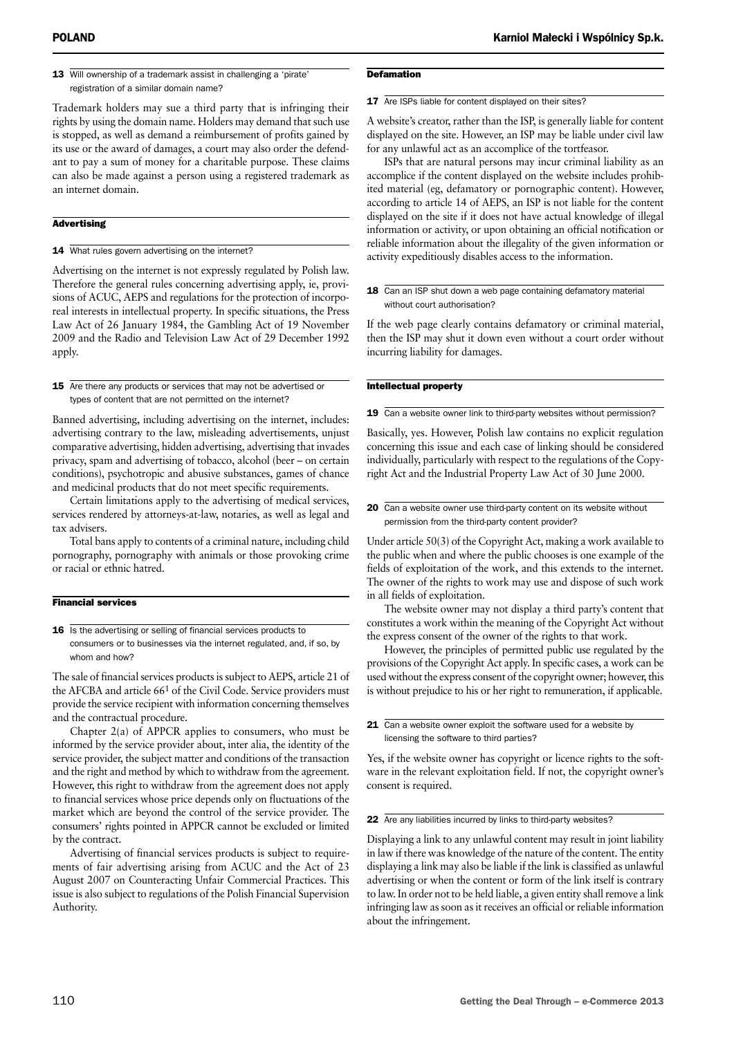13 Will ownership of a trademark assist in challenging a 'pirate' registration of a similar domain name?

Trademark holders may sue a third party that is infringing their rights by using the domain name. Holders may demand that such use is stopped, as well as demand a reimbursement of profits gained by its use or the award of damages, a court may also order the defendant to pay a sum of money for a charitable purpose. These claims can also be made against a person using a registered trademark as an internet domain.

#### **Advertising**

14 What rules govern advertising on the internet?

Advertising on the internet is not expressly regulated by Polish law. Therefore the general rules concerning advertising apply, ie, provisions of ACUC, AEPS and regulations for the protection of incorporeal interests in intellectual property. In specific situations, the Press Law Act of 26 January 1984, the Gambling Act of 19 November 2009 and the Radio and Television Law Act of 29 December 1992 apply.

15 Are there any products or services that may not be advertised or types of content that are not permitted on the internet?

Banned advertising, including advertising on the internet, includes: advertising contrary to the law, misleading advertisements, unjust comparative advertising, hidden advertising, advertising that invades privacy, spam and advertising of tobacco, alcohol (beer – on certain conditions), psychotropic and abusive substances, games of chance and medicinal products that do not meet specific requirements.

Certain limitations apply to the advertising of medical services, services rendered by attorneys-at-law, notaries, as well as legal and tax advisers.

Total bans apply to contents of a criminal nature, including child pornography, pornography with animals or those provoking crime or racial or ethnic hatred.

#### Financial services

16 Is the advertising or selling of financial services products to consumers or to businesses via the internet regulated, and, if so, by whom and how?

The sale of financial services products is subject to AEPS, article 21 of the AFCBA and article 661 of the Civil Code. Service providers must provide the service recipient with information concerning themselves and the contractual procedure.

Chapter 2(a) of APPCR applies to consumers, who must be informed by the service provider about, inter alia, the identity of the service provider, the subject matter and conditions of the transaction and the right and method by which to withdraw from the agreement. However, this right to withdraw from the agreement does not apply to financial services whose price depends only on fluctuations of the market which are beyond the control of the service provider. The consumers' rights pointed in APPCR cannot be excluded or limited by the contract.

Advertising of financial services products is subject to requirements of fair advertising arising from ACUC and the Act of 23 August 2007 on Counteracting Unfair Commercial Practices. This issue is also subject to regulations of the Polish Financial Supervision Authority.

#### **Defamation**

#### 17 Are ISPs liable for content displayed on their sites?

A website's creator, rather than the ISP, is generally liable for content displayed on the site. However, an ISP may be liable under civil law for any unlawful act as an accomplice of the tortfeasor.

ISPs that are natural persons may incur criminal liability as an accomplice if the content displayed on the website includes prohibited material (eg, defamatory or pornographic content). However, according to article 14 of AEPS, an ISP is not liable for the content displayed on the site if it does not have actual knowledge of illegal information or activity, or upon obtaining an official notification or reliable information about the illegality of the given information or activity expeditiously disables access to the information.

#### 18 Can an ISP shut down a web page containing defamatory material without court authorisation?

If the web page clearly contains defamatory or criminal material, then the ISP may shut it down even without a court order without incurring liability for damages.

#### Intellectual property

19 Can a website owner link to third-party websites without permission?

Basically, yes. However, Polish law contains no explicit regulation concerning this issue and each case of linking should be considered individually, particularly with respect to the regulations of the Copyright Act and the Industrial Property Law Act of 30 June 2000.

20 Can a website owner use third-party content on its website without permission from the third-party content provider?

Under article 50(3) of the Copyright Act, making a work available to the public when and where the public chooses is one example of the fields of exploitation of the work, and this extends to the internet. The owner of the rights to work may use and dispose of such work in all fields of exploitation.

The website owner may not display a third party's content that constitutes a work within the meaning of the Copyright Act without the express consent of the owner of the rights to that work.

However, the principles of permitted public use regulated by the provisions of the Copyright Act apply. In specific cases, a work can be used without the express consent of the copyright owner; however, this is without prejudice to his or her right to remuneration, if applicable.

Yes, if the website owner has copyright or licence rights to the software in the relevant exploitation field. If not, the copyright owner's consent is required.

22 Are any liabilities incurred by links to third-party websites?

Displaying a link to any unlawful content may result in joint liability in law if there was knowledge of the nature of the content. The entity displaying a link may also be liable if the link is classified as unlawful advertising or when the content or form of the link itself is contrary to law. In order not to be held liable, a given entity shall remove a link infringing law as soon as it receives an official or reliable information about the infringement.

<sup>21</sup> Can a website owner exploit the software used for a website by licensing the software to third parties?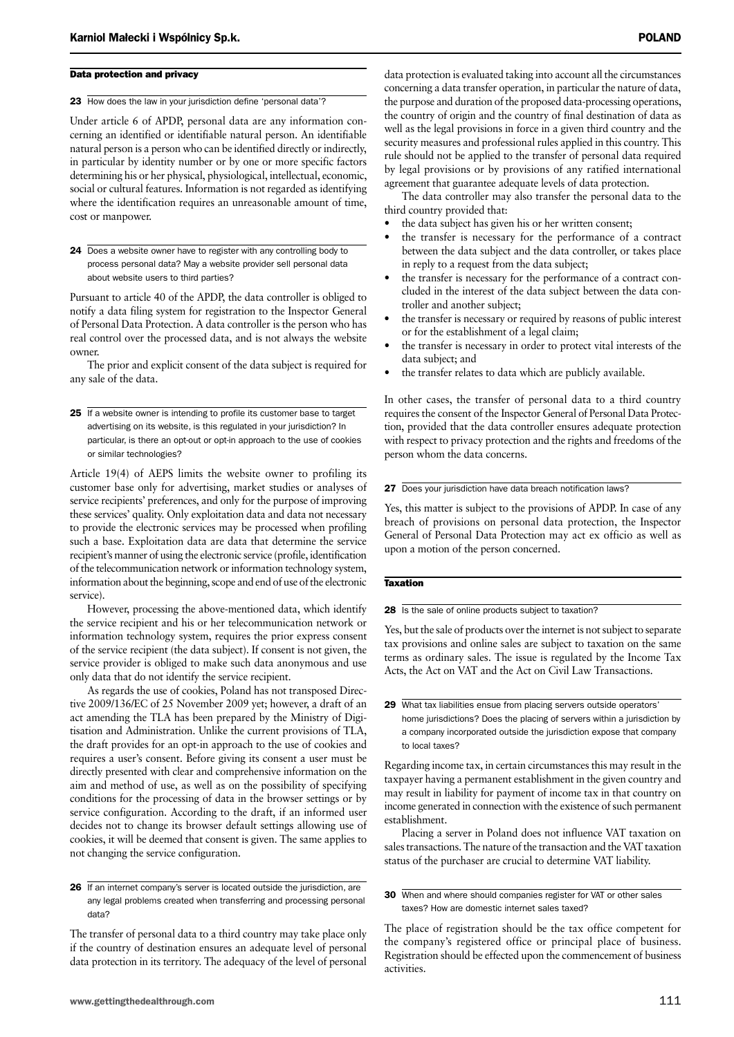#### Data protection and privacy

23 How does the law in your jurisdiction define 'personal data'?

Under article 6 of APDP, personal data are any information concerning an identified or identifiable natural person. An identifiable natural person is a person who can be identified directly or indirectly, in particular by identity number or by one or more specific factors determining his or her physical, physiological, intellectual, economic, social or cultural features. Information is not regarded as identifying where the identification requires an unreasonable amount of time, cost or manpower.

24 Does a website owner have to register with any controlling body to process personal data? May a website provider sell personal data about website users to third parties?

Pursuant to article 40 of the APDP, the data controller is obliged to notify a data filing system for registration to the Inspector General of Personal Data Protection. A data controller is the person who has real control over the processed data, and is not always the website owner.

The prior and explicit consent of the data subject is required for any sale of the data.

25 If a website owner is intending to profile its customer base to target advertising on its website, is this regulated in your jurisdiction? In particular, is there an opt-out or opt-in approach to the use of cookies or similar technologies?

Article 19(4) of AEPS limits the website owner to profiling its customer base only for advertising, market studies or analyses of service recipients' preferences, and only for the purpose of improving these services' quality. Only exploitation data and data not necessary to provide the electronic services may be processed when profiling such a base. Exploitation data are data that determine the service recipient's manner of using the electronic service (profile, identification of the telecommunication network or information technology system, information about the beginning, scope and end of use of the electronic service).

However, processing the above-mentioned data, which identify the service recipient and his or her telecommunication network or information technology system, requires the prior express consent of the service recipient (the data subject). If consent is not given, the service provider is obliged to make such data anonymous and use only data that do not identify the service recipient.

As regards the use of cookies, Poland has not transposed Directive 2009/136/EC of 25 November 2009 yet; however, a draft of an act amending the TLA has been prepared by the Ministry of Digitisation and Administration. Unlike the current provisions of TLA, the draft provides for an opt-in approach to the use of cookies and requires a user's consent. Before giving its consent a user must be directly presented with clear and comprehensive information on the aim and method of use, as well as on the possibility of specifying conditions for the processing of data in the browser settings or by service configuration. According to the draft, if an informed user decides not to change its browser default settings allowing use of cookies, it will be deemed that consent is given. The same applies to not changing the service configuration.

26 If an internet company's server is located outside the jurisdiction, are any legal problems created when transferring and processing personal data?

The transfer of personal data to a third country may take place only if the country of destination ensures an adequate level of personal data protection in its territory. The adequacy of the level of personal data protection is evaluated taking into account all the circumstances concerning a data transfer operation, in particular the nature of data, the purpose and duration of the proposed data-processing operations, the country of origin and the country of final destination of data as well as the legal provisions in force in a given third country and the security measures and professional rules applied in this country. This rule should not be applied to the transfer of personal data required by legal provisions or by provisions of any ratified international agreement that guarantee adequate levels of data protection.

The data controller may also transfer the personal data to the third country provided that:

- the data subject has given his or her written consent:
- the transfer is necessary for the performance of a contract between the data subject and the data controller, or takes place in reply to a request from the data subject;
- the transfer is necessary for the performance of a contract concluded in the interest of the data subject between the data controller and another subject;
- the transfer is necessary or required by reasons of public interest or for the establishment of a legal claim;
- the transfer is necessary in order to protect vital interests of the data subject; and
- the transfer relates to data which are publicly available.

In other cases, the transfer of personal data to a third country requires the consent of the Inspector General of Personal Data Protection, provided that the data controller ensures adequate protection with respect to privacy protection and the rights and freedoms of the person whom the data concerns.

#### 27 Does your jurisdiction have data breach notification laws?

Yes, this matter is subject to the provisions of APDP. In case of any breach of provisions on personal data protection, the Inspector General of Personal Data Protection may act ex officio as well as upon a motion of the person concerned.

#### Taxation

28 Is the sale of online products subject to taxation?

Yes, but the sale of products over the internet is not subject to separate tax provisions and online sales are subject to taxation on the same terms as ordinary sales. The issue is regulated by the Income Tax Acts, the Act on VAT and the Act on Civil Law Transactions.

29 What tax liabilities ensue from placing servers outside operators home jurisdictions? Does the placing of servers within a jurisdiction by a company incorporated outside the jurisdiction expose that company to local taxes?

Regarding income tax, in certain circumstances this may result in the taxpayer having a permanent establishment in the given country and may result in liability for payment of income tax in that country on income generated in connection with the existence of such permanent establishment.

Placing a server in Poland does not influence VAT taxation on sales transactions. The nature of the transaction and the VAT taxation status of the purchaser are crucial to determine VAT liability.

30 When and where should companies register for VAT or other sales taxes? How are domestic internet sales taxed?

The place of registration should be the tax office competent for the company's registered office or principal place of business. Registration should be effected upon the commencement of business activities.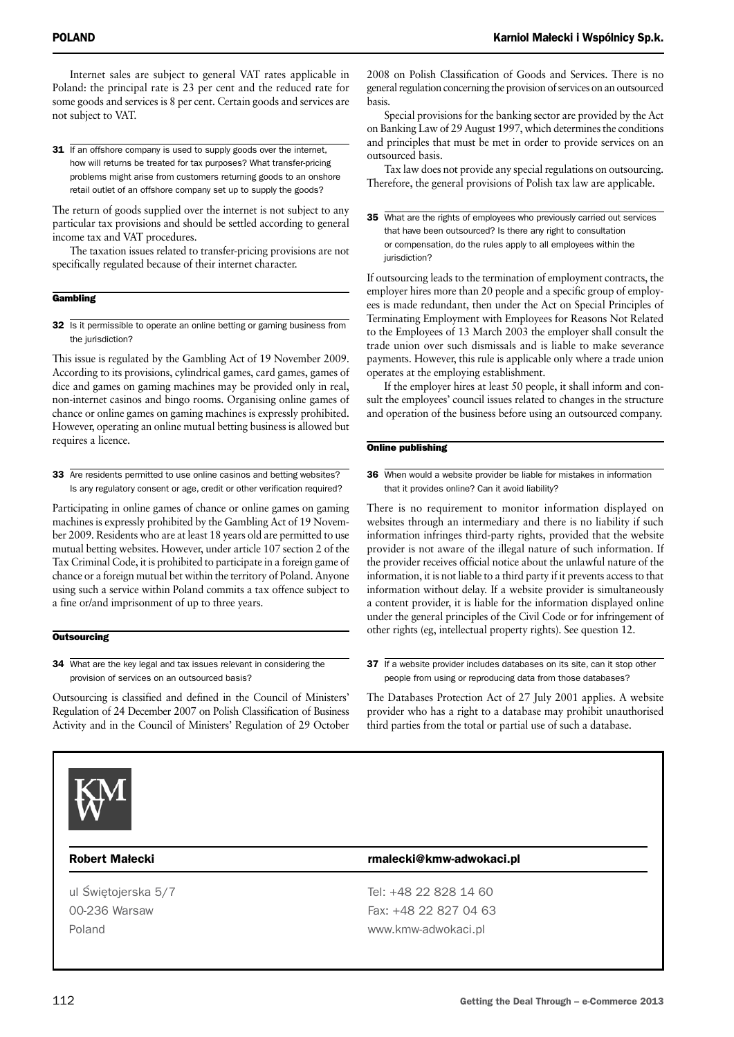Internet sales are subject to general VAT rates applicable in Poland: the principal rate is 23 per cent and the reduced rate for some goods and services is 8 per cent. Certain goods and services are not subject to VAT.

31 If an offshore company is used to supply goods over the internet, how will returns be treated for tax purposes? What transfer-pricing problems might arise from customers returning goods to an onshore retail outlet of an offshore company set up to supply the goods?

The return of goods supplied over the internet is not subject to any particular tax provisions and should be settled according to general income tax and VAT procedures.

The taxation issues related to transfer-pricing provisions are not specifically regulated because of their internet character.

#### **Gambling**

32 Is it permissible to operate an online betting or gaming business from the jurisdiction?

This issue is regulated by the Gambling Act of 19 November 2009. According to its provisions, cylindrical games, card games, games of dice and games on gaming machines may be provided only in real, non-internet casinos and bingo rooms. Organising online games of chance or online games on gaming machines is expressly prohibited. However, operating an online mutual betting business is allowed but requires a licence.

33 Are residents permitted to use online casinos and betting websites? Is any regulatory consent or age, credit or other verification required?

Participating in online games of chance or online games on gaming machines is expressly prohibited by the Gambling Act of 19 November 2009. Residents who are at least 18 years old are permitted to use mutual betting websites. However, under article 107 section 2 of the Tax Criminal Code, it is prohibited to participate in a foreign game of chance or a foreign mutual bet within the territory of Poland. Anyone using such a service within Poland commits a tax offence subject to a fine or/and imprisonment of up to three years.

#### **Outsourcing**

34 What are the key legal and tax issues relevant in considering the provision of services on an outsourced basis?

Outsourcing is classified and defined in the Council of Ministers' Regulation of 24 December 2007 on Polish Classification of Business Activity and in the Council of Ministers' Regulation of 29 October 2008 on Polish Classification of Goods and Services. There is no general regulation concerning the provision of services on an outsourced basis.

Special provisions for the banking sector are provided by the Act on Banking Law of 29 August 1997, which determines the conditions and principles that must be met in order to provide services on an outsourced basis.

Tax law does not provide any special regulations on outsourcing. Therefore, the general provisions of Polish tax law are applicable.

35 What are the rights of employees who previously carried out services that have been outsourced? Is there any right to consultation or compensation, do the rules apply to all employees within the jurisdiction?

If outsourcing leads to the termination of employment contracts, the employer hires more than 20 people and a specific group of employees is made redundant, then under the Act on Special Principles of Terminating Employment with Employees for Reasons Not Related to the Employees of 13 March 2003 the employer shall consult the trade union over such dismissals and is liable to make severance payments. However, this rule is applicable only where a trade union operates at the employing establishment.

If the employer hires at least 50 people, it shall inform and consult the employees' council issues related to changes in the structure and operation of the business before using an outsourced company.

#### Online publishing

**36** When would a website provider be liable for mistakes in information that it provides online? Can it avoid liability?

There is no requirement to monitor information displayed on websites through an intermediary and there is no liability if such information infringes third-party rights, provided that the website provider is not aware of the illegal nature of such information. If the provider receives official notice about the unlawful nature of the information, it is not liable to a third party if it prevents access to that information without delay. If a website provider is simultaneously a content provider, it is liable for the information displayed online under the general principles of the Civil Code or for infringement of other rights (eg, intellectual property rights). See question 12.

37 If a website provider includes databases on its site, can it stop other people from using or reproducing data from those databases?

The Databases Protection Act of 27 July 2001 applies. A website provider who has a right to a database may prohibit unauthorised third parties from the total or partial use of such a database.



#### Robert Małecki **rmalecki** rmalecki@kmw-adwokaci.pl

ul Świętojerska 5/7 Tel: +48 22 828 14 60 00-236 Warsaw Fax: +48 22 827 04 63 Poland www.kmw-adwokaci.pl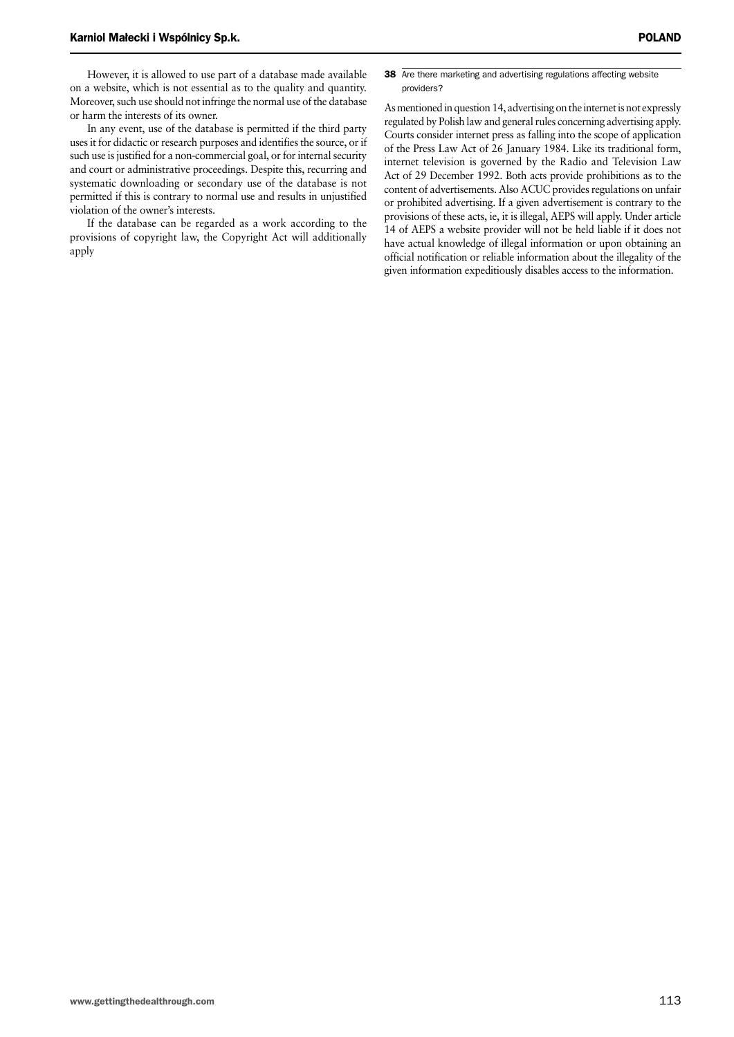However, it is allowed to use part of a database made available on a website, which is not essential as to the quality and quantity. Moreover, such use should not infringe the normal use of the database or harm the interests of its owner.

In any event, use of the database is permitted if the third party uses it for didactic or research purposes and identifies the source, or if such use is justified for a non-commercial goal, or for internal security and court or administrative proceedings. Despite this, recurring and systematic downloading or secondary use of the database is not permitted if this is contrary to normal use and results in unjustified violation of the owner's interests.

If the database can be regarded as a work according to the provisions of copyright law, the Copyright Act will additionally apply

38 Are there marketing and advertising regulations affecting website providers?

As mentioned in question 14, advertising on the internet is not expressly regulated by Polish law and general rules concerning advertising apply. Courts consider internet press as falling into the scope of application of the Press Law Act of 26 January 1984. Like its traditional form, internet television is governed by the Radio and Television Law Act of 29 December 1992. Both acts provide prohibitions as to the content of advertisements. Also ACUC provides regulations on unfair or prohibited advertising. If a given advertisement is contrary to the provisions of these acts, ie, it is illegal, AEPS will apply. Under article 14 of AEPS a website provider will not be held liable if it does not have actual knowledge of illegal information or upon obtaining an official notification or reliable information about the illegality of the given information expeditiously disables access to the information.